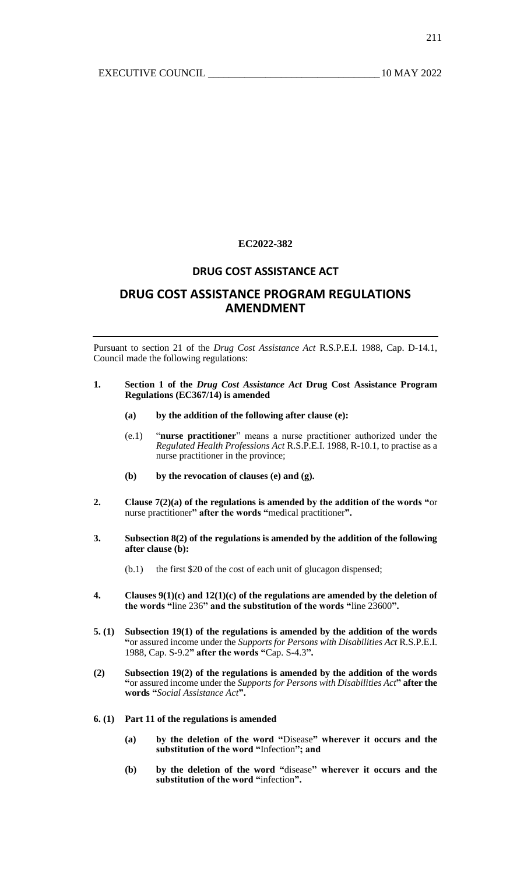## **EC2022-382**

## **DRUG COST ASSISTANCE ACT**

# **DRUG COST ASSISTANCE PROGRAM REGULATIONS AMENDMENT**

Pursuant to section 21 of the *Drug Cost Assistance Act* R.S.P.E.I. 1988, Cap. D-14.1, Council made the following regulations:

### **1. Section 1 of the** *Drug Cost Assistance Act* **Drug Cost Assistance Program Regulations (EC367/14) is amended**

- **(a) by the addition of the following after clause (e):**
- (e.1) "**nurse practitioner**" means a nurse practitioner authorized under the *Regulated Health Professions Act* R.S.P.E.I. 1988, R-10.1, to practise as a nurse practitioner in the province;
- **(b) by the revocation of clauses (e) and (g).**
- **2. Clause 7(2)(a) of the regulations is amended by the addition of the words "**or nurse practitioner**" after the words "**medical practitioner**".**
- **3. Subsection 8(2) of the regulations is amended by the addition of the following after clause (b):**
	- (b.1) the first \$20 of the cost of each unit of glucagon dispensed;
- **4. Clauses 9(1)(c) and 12(1)(c) of the regulations are amended by the deletion of the words "**line 236**" and the substitution of the words "**line 23600**".**
- **5. (1) Subsection 19(1) of the regulations is amended by the addition of the words "**or assured income under the *Supports for Persons with Disabilities Act* R.S.P.E.I. 1988, Cap. S-9.2**" after the words "**Cap. S-4.3**".**
- **(2) Subsection 19(2) of the regulations is amended by the addition of the words "**or assured income under the *Supports for Persons with Disabilities Act***" after the words "***Social Assistance Act***".**
- **6. (1) Part 11 of the regulations is amended**
	- **(a) by the deletion of the word "**Disease**" wherever it occurs and the substitution of the word "**Infection**"; and**
	- **(b) by the deletion of the word "**disease**" wherever it occurs and the substitution of the word "**infection**".**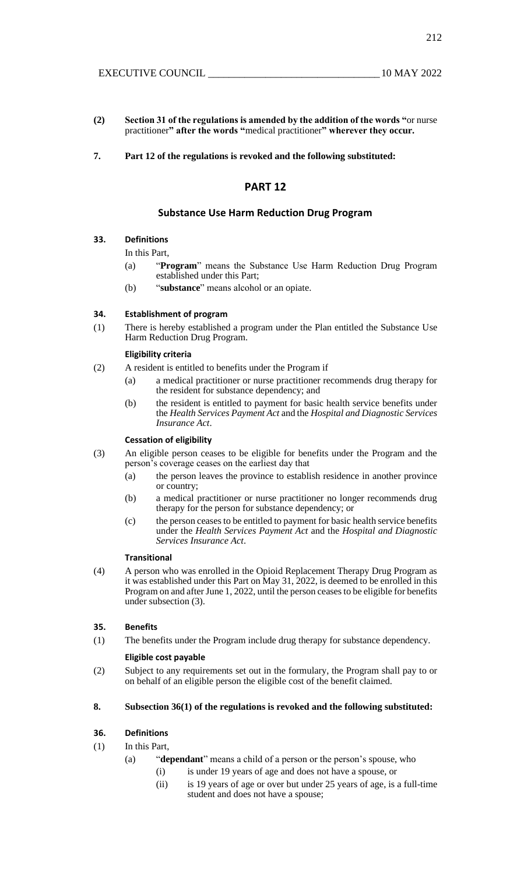212

- **(2) Section 31 of the regulations is amended by the addition of the words "**or nurse practitioner**" after the words "**medical practitioner**" wherever they occur.**
- **7. Part 12 of the regulations is revoked and the following substituted:**

## **PART 12**

## **Substance Use Harm Reduction Drug Program**

## **33. Definitions**

### In this Part,

- (a) "**Program**" means the Substance Use Harm Reduction Drug Program established under this Part;
- (b) "**substance**" means alcohol or an opiate.

## **34. Establishment of program**

(1) There is hereby established a program under the Plan entitled the Substance Use Harm Reduction Drug Program.

#### **Eligibility criteria**

- (2) A resident is entitled to benefits under the Program if
	- (a) a medical practitioner or nurse practitioner recommends drug therapy for the resident for substance dependency; and
	- (b) the resident is entitled to payment for basic health service benefits under the *Health Services Payment Act* and the *Hospital and Diagnostic Services Insurance Act*.

### **Cessation of eligibility**

- (3) An eligible person ceases to be eligible for benefits under the Program and the person's coverage ceases on the earliest day that
	- (a) the person leaves the province to establish residence in another province or country;
	- (b) a medical practitioner or nurse practitioner no longer recommends drug therapy for the person for substance dependency; or
	- (c) the person ceases to be entitled to payment for basic health service benefits under the *Health Services Payment Act* and the *Hospital and Diagnostic Services Insurance Act*.

### **Transitional**

(4) A person who was enrolled in the Opioid Replacement Therapy Drug Program as it was established under this Part on May 31, 2022, is deemed to be enrolled in this Program on and after June 1, 2022, until the person ceases to be eligible for benefits under subsection (3).

## **35. Benefits**

(1) The benefits under the Program include drug therapy for substance dependency.

### **Eligible cost payable**

(2) Subject to any requirements set out in the formulary, the Program shall pay to or on behalf of an eligible person the eligible cost of the benefit claimed.

## **8. Subsection 36(1) of the regulations is revoked and the following substituted:**

## **36. Definitions**

## (1) In this Part,

- (a) "**dependant**" means a child of a person or the person's spouse, who
	- (i) is under 19 years of age and does not have a spouse, or
	- (ii) is 19 years of age or over but under 25 years of age, is a full-time student and does not have a spouse;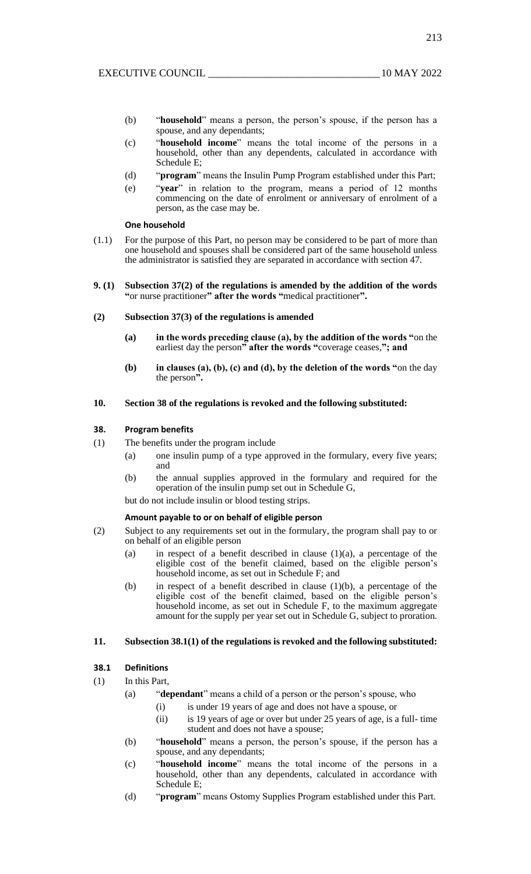- (b) "**household**" means a person, the person's spouse, if the person has a spouse, and any dependants;
- (c) "**household income**" means the total income of the persons in a household, other than any dependents, calculated in accordance with Schedule E;
- (d) "**program**" means the Insulin Pump Program established under this Part;
- (e) "**year**" in relation to the program, means a period of 12 months commencing on the date of enrolment or anniversary of enrolment of a person, as the case may be.

### **One household**

- (1.1) For the purpose of this Part, no person may be considered to be part of more than one household and spouses shall be considered part of the same household unless the administrator is satisfied they are separated in accordance with section 47.
- **9. (1) Subsection 37(2) of the regulations is amended by the addition of the words "**or nurse practitioner**" after the words "**medical practitioner**".**
- **(2) Subsection 37(3) of the regulations is amended**
	- **(a) in the words preceding clause (a), by the addition of the words "**on the earliest day the person**" after the words "**coverage ceases,**"; and**
	- **(b) in clauses (a), (b), (c) and (d), by the deletion of the words "**on the day the person**".**

## **10. Section 38 of the regulations is revoked and the following substituted:**

### **38. Program benefits**

- (1) The benefits under the program include
	- (a) one insulin pump of a type approved in the formulary, every five years; and
	- (b) the annual supplies approved in the formulary and required for the operation of the insulin pump set out in Schedule G,

but do not include insulin or blood testing strips.

#### **Amount payable to or on behalf of eligible person**

- (2) Subject to any requirements set out in the formulary, the program shall pay to or on behalf of an eligible person
	- (a) in respect of a benefit described in clause (1)(a), a percentage of the eligible cost of the benefit claimed, based on the eligible person's household income, as set out in Schedule F; and
	- (b) in respect of a benefit described in clause (1)(b), a percentage of the eligible cost of the benefit claimed, based on the eligible person's household income, as set out in Schedule F, to the maximum aggregate amount for the supply per year set out in Schedule G, subject to proration.

## **11. Subsection 38.1(1) of the regulations is revoked and the following substituted:**

#### **38.1 Definitions**

- (1) In this Part,
	- (a) "**dependant**" means a child of a person or the person's spouse, who
		- (i) is under 19 years of age and does not have a spouse, or
		- (ii) is 19 years of age or over but under 25 years of age, is a full- time student and does not have a spouse;
	- (b) "**household**" means a person, the person's spouse, if the person has a spouse, and any dependants;
	- (c) "**household income**" means the total income of the persons in a household, other than any dependents, calculated in accordance with Schedule E;
	- (d) "**program**" means Ostomy Supplies Program established under this Part.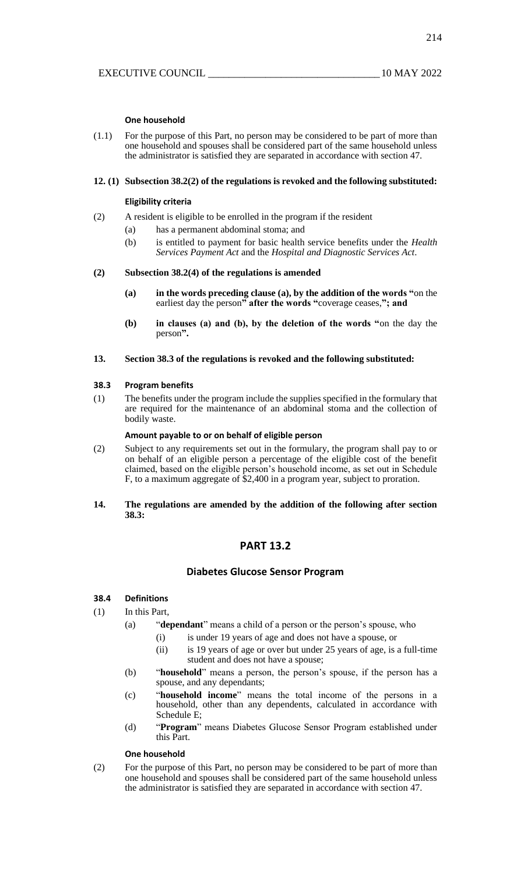### **One household**

(1.1) For the purpose of this Part, no person may be considered to be part of more than one household and spouses shall be considered part of the same household unless the administrator is satisfied they are separated in accordance with section 47.

#### **12. (1) Subsection 38.2(2) of the regulations is revoked and the following substituted:**

#### **Eligibility criteria**

- (2) A resident is eligible to be enrolled in the program if the resident
	- (a) has a permanent abdominal stoma; and
		- (b) is entitled to payment for basic health service benefits under the *Health Services Payment Act* and the *Hospital and Diagnostic Services Act*.

#### **(2) Subsection 38.2(4) of the regulations is amended**

- **(a) in the words preceding clause (a), by the addition of the words "**on the earliest day the person**" after the words "**coverage ceases,**"; and**
- **(b) in clauses (a) and (b), by the deletion of the words "**on the day the person**".**

#### **13. Section 38.3 of the regulations is revoked and the following substituted:**

#### **38.3 Program benefits**

(1) The benefits under the program include the supplies specified in the formulary that are required for the maintenance of an abdominal stoma and the collection of bodily waste.

#### **Amount payable to or on behalf of eligible person**

- (2) Subject to any requirements set out in the formulary, the program shall pay to or on behalf of an eligible person a percentage of the eligible cost of the benefit claimed, based on the eligible person's household income, as set out in Schedule F, to a maximum aggregate of \$2,400 in a program year, subject to proration.
- **14. The regulations are amended by the addition of the following after section 38.3:**

## **PART 13.2**

## **Diabetes Glucose Sensor Program**

### **38.4 Definitions**

- (1) In this Part,
	- (a) "**dependant**" means a child of a person or the person's spouse, who
		- (i) is under 19 years of age and does not have a spouse, or
		- (ii) is 19 years of age or over but under 25 years of age, is a full-time student and does not have a spouse;
	- (b) "**household**" means a person, the person's spouse, if the person has a spouse, and any dependants;
	- (c) "**household income**" means the total income of the persons in a household, other than any dependents, calculated in accordance with Schedule E;
	- (d) "**Program**" means Diabetes Glucose Sensor Program established under this Part.

## **One household**

(2) For the purpose of this Part, no person may be considered to be part of more than one household and spouses shall be considered part of the same household unless the administrator is satisfied they are separated in accordance with section 47.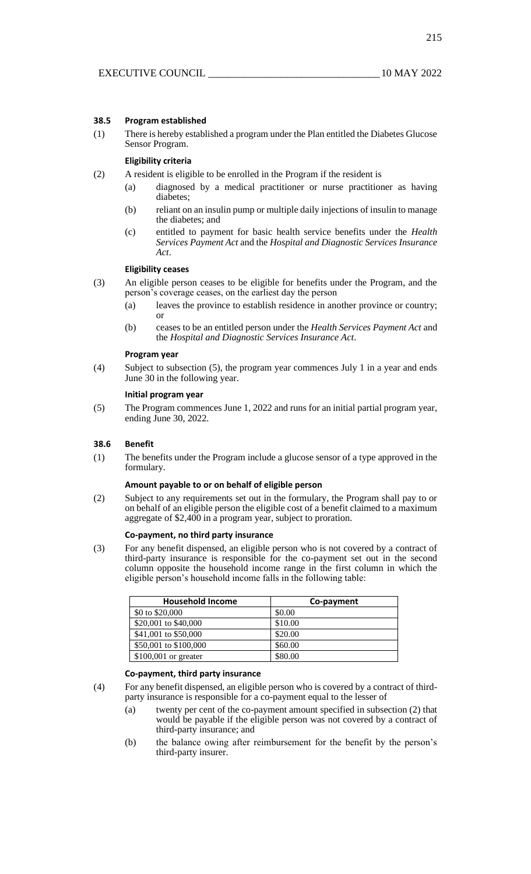### **38.5 Program established**

(1) There is hereby established a program under the Plan entitled the Diabetes Glucose Sensor Program.

## **Eligibility criteria**

- (2) A resident is eligible to be enrolled in the Program if the resident is
	- (a) diagnosed by a medical practitioner or nurse practitioner as having diabetes;
	- (b) reliant on an insulin pump or multiple daily injections of insulin to manage the diabetes; and
	- (c) entitled to payment for basic health service benefits under the *Health Services Payment Act* and the *Hospital and Diagnostic Services Insurance Act*.

## **Eligibility ceases**

- (3) An eligible person ceases to be eligible for benefits under the Program, and the person's coverage ceases, on the earliest day the person
	- (a) leaves the province to establish residence in another province or country; or
	- (b) ceases to be an entitled person under the *Health Services Payment Act* and the *Hospital and Diagnostic Services Insurance Act*.

### **Program year**

(4) Subject to subsection (5), the program year commences July 1 in a year and ends June 30 in the following year.

## **Initial program year**

(5) The Program commences June 1, 2022 and runs for an initial partial program year, ending June 30, 2022.

### **38.6 Benefit**

(1) The benefits under the Program include a glucose sensor of a type approved in the formulary.

#### **Amount payable to or on behalf of eligible person**

(2) Subject to any requirements set out in the formulary, the Program shall pay to or on behalf of an eligible person the eligible cost of a benefit claimed to a maximum aggregate of \$2,400 in a program year, subject to proration.

#### **Co-payment, no third party insurance**

(3) For any benefit dispensed, an eligible person who is not covered by a contract of third-party insurance is responsible for the co-payment set out in the second column opposite the household income range in the first column in which the eligible person's household income falls in the following table:

| <b>Household Income</b> | Co-payment |
|-------------------------|------------|
| \$0 to \$20,000         | \$0.00     |
| \$20,001 to \$40,000    | \$10.00    |
| \$41,001 to \$50,000    | \$20.00    |
| \$50,001 to \$100,000   | \$60.00    |
| $$100,001$ or greater   | \$80.00    |

### **Co-payment, third party insurance**

- (4) For any benefit dispensed, an eligible person who is covered by a contract of thirdparty insurance is responsible for a co-payment equal to the lesser of
	- (a) twenty per cent of the co-payment amount specified in subsection (2) that would be payable if the eligible person was not covered by a contract of third-party insurance; and
	- (b) the balance owing after reimbursement for the benefit by the person's third-party insurer.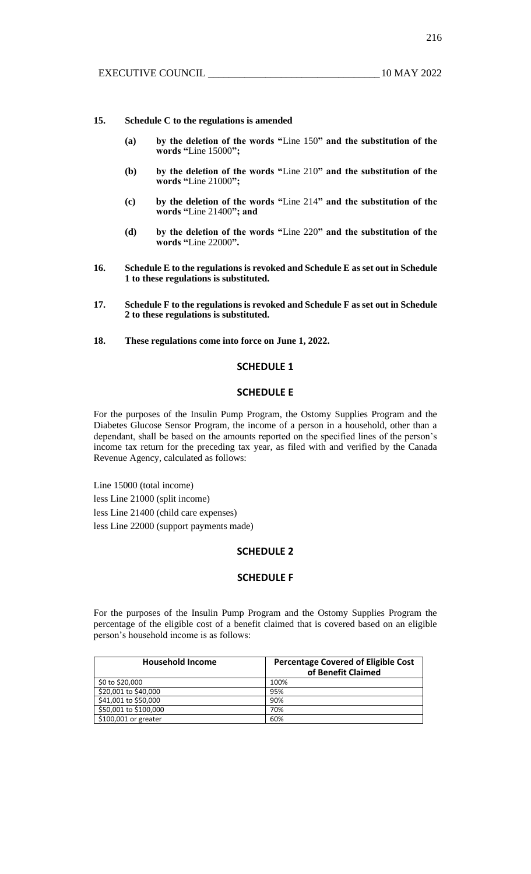216

### **15. Schedule C to the regulations is amended**

- **(a) by the deletion of the words "**Line 150**" and the substitution of the words "**Line 15000**";**
- **(b) by the deletion of the words "**Line 210**" and the substitution of the words "**Line 21000**";**
- **(c) by the deletion of the words "**Line 214**" and the substitution of the words "**Line 21400**"; and**
- **(d) by the deletion of the words "**Line 220**" and the substitution of the words "**Line 22000**".**
- **16. Schedule E to the regulations is revoked and Schedule E as set out in Schedule 1 to these regulations is substituted.**
- **17. Schedule F to the regulations is revoked and Schedule F as set out in Schedule 2 to these regulations is substituted.**
- **18. These regulations come into force on June 1, 2022.**

## **SCHEDULE 1**

## **SCHEDULE E**

For the purposes of the Insulin Pump Program, the Ostomy Supplies Program and the Diabetes Glucose Sensor Program, the income of a person in a household, other than a dependant, shall be based on the amounts reported on the specified lines of the person's income tax return for the preceding tax year, as filed with and verified by the Canada Revenue Agency, calculated as follows:

Line 15000 (total income) less Line 21000 (split income) less Line 21400 (child care expenses) less Line 22000 (support payments made)

## **SCHEDULE 2**

## **SCHEDULE F**

For the purposes of the Insulin Pump Program and the Ostomy Supplies Program the percentage of the eligible cost of a benefit claimed that is covered based on an eligible person's household income is as follows:

| <b>Household Income</b> | <b>Percentage Covered of Eligible Cost</b><br>of Benefit Claimed |
|-------------------------|------------------------------------------------------------------|
| \$0 to \$20,000         | 100%                                                             |
| \$20,001 to \$40,000    | 95%                                                              |
| \$41,001 to \$50,000    | 90%                                                              |
| \$50,001 to \$100,000   | 70%                                                              |
| \$100,001 or greater    | 60%                                                              |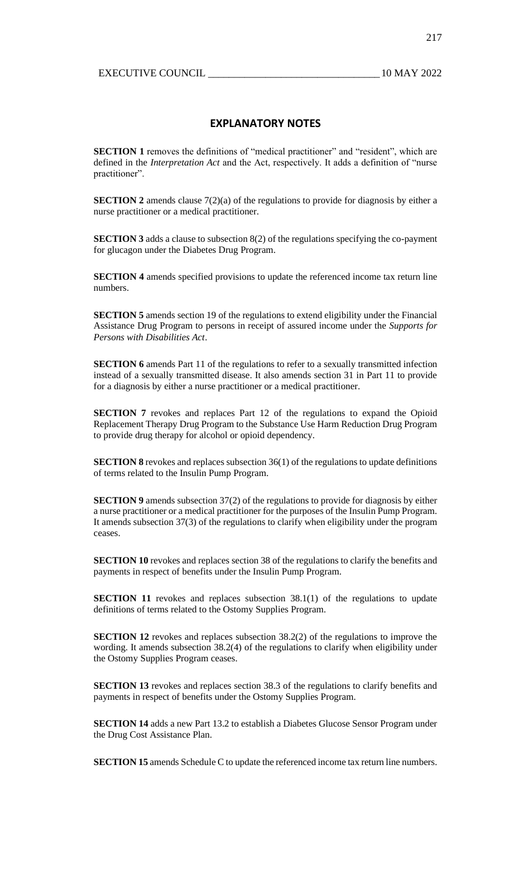217

## **EXPLANATORY NOTES**

**SECTION 1** removes the definitions of "medical practitioner" and "resident", which are defined in the *Interpretation Act* and the Act, respectively. It adds a definition of "nurse practitioner".

**SECTION 2** amends clause  $7(2)(a)$  of the regulations to provide for diagnosis by either a nurse practitioner or a medical practitioner.

**SECTION 3** adds a clause to subsection 8(2) of the regulations specifying the co-payment for glucagon under the Diabetes Drug Program.

**SECTION 4** amends specified provisions to update the referenced income tax return line numbers.

**SECTION 5** amends section 19 of the regulations to extend eligibility under the Financial Assistance Drug Program to persons in receipt of assured income under the *Supports for Persons with Disabilities Act*.

**SECTION 6** amends Part 11 of the regulations to refer to a sexually transmitted infection instead of a sexually transmitted disease. It also amends section 31 in Part 11 to provide for a diagnosis by either a nurse practitioner or a medical practitioner.

**SECTION 7** revokes and replaces Part 12 of the regulations to expand the Opioid Replacement Therapy Drug Program to the Substance Use Harm Reduction Drug Program to provide drug therapy for alcohol or opioid dependency.

**SECTION 8** revokes and replaces subsection 36(1) of the regulations to update definitions of terms related to the Insulin Pump Program.

**SECTION 9** amends subsection 37(2) of the regulations to provide for diagnosis by either a nurse practitioner or a medical practitioner for the purposes of the Insulin Pump Program. It amends subsection 37(3) of the regulations to clarify when eligibility under the program ceases.

**SECTION 10** revokes and replaces section 38 of the regulations to clarify the benefits and payments in respect of benefits under the Insulin Pump Program.

**SECTION 11** revokes and replaces subsection 38.1(1) of the regulations to update definitions of terms related to the Ostomy Supplies Program.

**SECTION 12** revokes and replaces subsection 38.2(2) of the regulations to improve the wording. It amends subsection 38.2(4) of the regulations to clarify when eligibility under the Ostomy Supplies Program ceases.

**SECTION 13** revokes and replaces section 38.3 of the regulations to clarify benefits and payments in respect of benefits under the Ostomy Supplies Program.

**SECTION 14** adds a new Part 13.2 to establish a Diabetes Glucose Sensor Program under the Drug Cost Assistance Plan.

**SECTION 15** amends Schedule C to update the referenced income tax return line numbers.